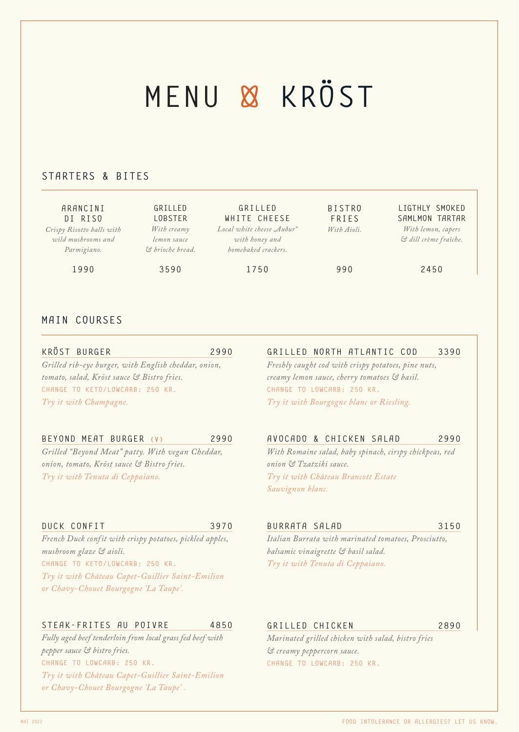## MENU & KRÖST

### STARTERS & BITES

| ARANCINI<br>DI RISO       | GRILLED<br><b>LOBSTER</b> | GRILLED<br>WHITE CHEESE    | <b>BISTRO</b><br><b>FRIES</b> | LIGTHLY SMOKED<br>SAMLMON TARTAR |
|---------------------------|---------------------------|----------------------------|-------------------------------|----------------------------------|
| Crispy Risotto balls with | With creamy               | Local white cheese "Audur" | With Aioli.                   | With lemon, capers               |
| wild mushrooms and        | lemon sauce               | with honey and             |                               | & dill crème fraîche.            |
| Parmigiano.               | & brioche bread.          | homebaked crackers.        |                               |                                  |
| 1990                      | 3590                      | 1750                       | 990                           | 2450                             |

#### MAIN COURSES

KRÖST BURGER 2990 *Grilled rib-eye burger, with English cheddar, onion, tomato, salad, Kröst sauce & Bistro fries.* CHANGE TO KETO/LOWCARB: 250 KR. *Try it with Champagne.*

#### BEYOND MEAT BURGER (V) 2990

*Grilled "Beyond Meat" patty. With vegan Cheddar, onion, tomato, Kröst sauce & Bistro fries. Try it with Tenuta di Ceppaiano.*

## GRILLED NORTH ATLANTIC COD 3390

*Freshly caught cod with crispy potatoes, pine nuts, creamy lemon sauce, cherry tomatoes & basil.*  CHANGE TO LOWCARB: 250 KR. *Try it with Bourgogne blanc or Riesling.*

#### AVOCADO & CHICKEN SALAD 2990

*With Romaine salad, baby spinach, cirspy chickpeas, red onion & Tzatziki sauce. Try it with Château Brancott Estate Sauvignon blanc.*

#### DUCK CONFIT 3970

*French Duck confit with crispy potatoes, pickled apples, mushroom glaze & aioli.*  CHANGE TO KETO/LOWCARB: 250 KR. *Try it with Château Capet-Guillier Saint-Emilion or Chavy-Chouet Bourgogne 'La Taupe'.*

#### STEAK-FRITES AU POIVRE 4850

*Fully aged beef tenderloin from local grass fed beef with pepper sauce & bistro fries.*  CHANGE TO LOWCARB: 250 KR. *Try it with Château Capet-Guillier Saint-Emilion or Chavy-Chouet Bourgogne 'La Taupe' .*

#### BURRATA SALAD 3150

*Italian Burrata with marinated tomatoes, Prosciutto, balsamic vinaigrette & basil salad. Try it with Tenuta di Ceppaiano.*

#### GRILLED CHICKEN 2890

*Marinated grilled chicken with salad, bistro fries & creamy peppercorn sauce.* CHANGE TO LOWCARB: 250 KR.